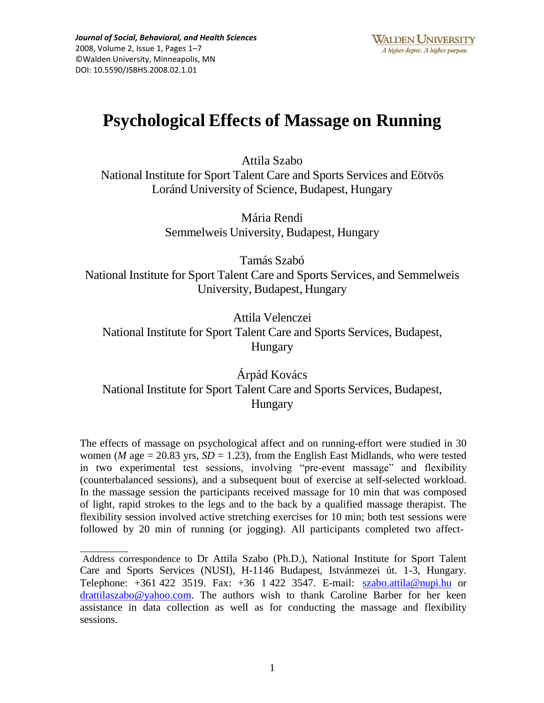# **Psychological Effects of Massage on Running**

Attila Szabo

National Institute for Sport Talent Care and Sports Services and Eötvös Loránd University of Science, Budapest, Hungary

> Mária Rendi Semmelweis University, Budapest, Hungary

Tamás Szabó National Institute for Sport Talent Care and Sports Services, and Semmelweis University, Budapest, Hungary

Attila Velenczei National Institute for Sport Talent Care and Sports Services, Budapest, Hungary

Árpád Kovács National Institute for Sport Talent Care and Sports Services, Budapest, Hungary

The effects of massage on psychological affect and on running-effort were studied in 30 women (*M* age = 20.83 yrs,  $SD = 1.23$ ), from the English East Midlands, who were tested in two experimental test sessions, involving "pre-event massage" and flexibility (counterbalanced sessions), and a subsequent bout of exercise at self-selected workload. In the massage session the participants received massage for 10 min that was composed of light, rapid strokes to the legs and to the back by a qualified massage therapist. The flexibility session involved active stretching exercises for 10 min; both test sessions were followed by 20 min of running (or jogging). All participants completed two affect-

Address correspondence to Dr Attila Szabo (Ph.D.), National Institute for Sport Talent Care and Sports Services (NUSI), H-1146 Budapest, Istvánmezei út. 1-3, Hungary. Telephone: +361 422 3519. Fax: +36 1 422 3547. E-mail: [szabo.attila@nupi.hu](mailto:szabo.attila@nupi.hu) or [drattilaszabo@yahoo.com. T](mailto:drattilaszabo@yahoo.com)he authors wish to thank Caroline Barber for her keen assistance in data collection as well as for conducting the massage and flexibility sessions.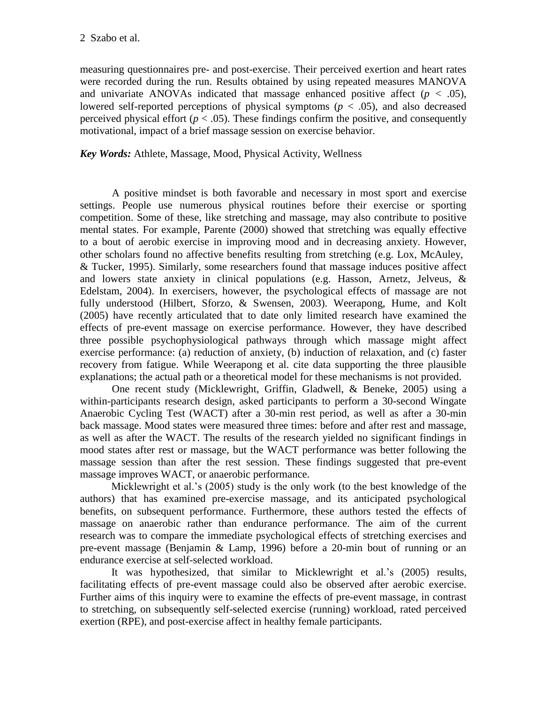measuring questionnaires pre- and post-exercise. Their perceived exertion and heart rates were recorded during the run. Results obtained by using repeated measures MANOVA and univariate ANOVAs indicated that massage enhanced positive affect ( $p < .05$ ), lowered self-reported perceptions of physical symptoms  $(p < .05)$ , and also decreased perceived physical effort ( $p < .05$ ). These findings confirm the positive, and consequently motivational, impact of a brief massage session on exercise behavior.

*Key Words:* Athlete, Massage, Mood, Physical Activity, Wellness

A positive mindset is both favorable and necessary in most sport and exercise settings. People use numerous physical routines before their exercise or sporting competition. Some of these, like stretching and massage, may also contribute to positive mental states. For example, Parente (2000) showed that stretching was equally effective to a bout of aerobic exercise in improving mood and in decreasing anxiety. However, other scholars found no affective benefits resulting from stretching (e.g. Lox, McAuley, & Tucker, 1995). Similarly, some researchers found that massage induces positive affect and lowers state anxiety in clinical populations (e.g. Hasson, Arnetz, Jelveus, & Edelstam, 2004). In exercisers, however, the psychological effects of massage are not fully understood (Hilbert, Sforzo, & Swensen, 2003). Weerapong, Hume, and Kolt (2005) have recently articulated that to date only limited research have examined the effects of pre-event massage on exercise performance. However, they have described three possible psychophysiological pathways through which massage might affect exercise performance: (a) reduction of anxiety, (b) induction of relaxation, and (c) faster recovery from fatigue. While Weerapong et al. cite data supporting the three plausible explanations; the actual path or a theoretical model for these mechanisms is not provided.

One recent study (Micklewright, Griffin, Gladwell, & Beneke, 2005) using a within-participants research design, asked participants to perform a 30-second Wingate Anaerobic Cycling Test (WACT) after a 30-min rest period, as well as after a 30-min back massage. Mood states were measured three times: before and after rest and massage, as well as after the WACT. The results of the research yielded no significant findings in mood states after rest or massage, but the WACT performance was better following the massage session than after the rest session. These findings suggested that pre-event massage improves WACT, or anaerobic performance.

Micklewright et al.'s (2005) study is the only work (to the best knowledge of the authors) that has examined pre-exercise massage, and its anticipated psychological benefits, on subsequent performance. Furthermore, these authors tested the effects of massage on anaerobic rather than endurance performance. The aim of the current research was to compare the immediate psychological effects of stretching exercises and pre-event massage (Benjamin & Lamp, 1996) before a 20-min bout of running or an endurance exercise at self-selected workload.

It was hypothesized, that similar to Micklewright et al.'s (2005) results, facilitating effects of pre-event massage could also be observed after aerobic exercise. Further aims of this inquiry were to examine the effects of pre-event massage, in contrast to stretching, on subsequently self-selected exercise (running) workload, rated perceived exertion (RPE), and post-exercise affect in healthy female participants.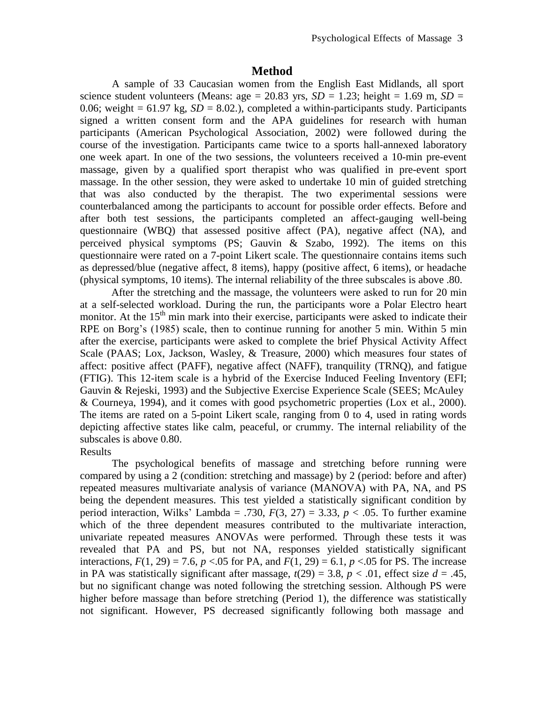## **Method**

A sample of 33 Caucasian women from the English East Midlands, all sport science student volunteers (Means: age =  $20.83$  yrs,  $SD = 1.23$ ; height = 1.69 m,  $SD =$ 0.06; weight  $= 61.97$  kg,  $SD = 8.02$ .), completed a within-participants study. Participants signed a written consent form and the APA guidelines for research with human participants (American Psychological Association, 2002) were followed during the course of the investigation. Participants came twice to a sports hall-annexed laboratory one week apart. In one of the two sessions, the volunteers received a 10-min pre-event massage, given by a qualified sport therapist who was qualified in pre-event sport massage. In the other session, they were asked to undertake 10 min of guided stretching that was also conducted by the therapist. The two experimental sessions were counterbalanced among the participants to account for possible order effects. Before and after both test sessions, the participants completed an affect-gauging well-being questionnaire (WBQ) that assessed positive affect (PA), negative affect (NA), and perceived physical symptoms (PS; Gauvin & Szabo, 1992). The items on this questionnaire were rated on a 7-point Likert scale. The questionnaire contains items such as depressed/blue (negative affect, 8 items), happy (positive affect, 6 items), or headache (physical symptoms, 10 items). The internal reliability of the three subscales is above .80.

After the stretching and the massage, the volunteers were asked to run for 20 min at a self-selected workload. During the run, the participants wore a Polar Electro heart monitor. At the 15<sup>th</sup> min mark into their exercise, participants were asked to indicate their RPE on Borg's (1985) scale, then to continue running for another 5 min. Within 5 min after the exercise, participants were asked to complete the brief Physical Activity Affect Scale (PAAS; Lox, Jackson, Wasley, & Treasure, 2000) which measures four states of affect: positive affect (PAFF), negative affect (NAFF), tranquility (TRNQ), and fatigue (FTIG). This 12-item scale is a hybrid of the Exercise Induced Feeling Inventory (EFI; Gauvin & Rejeski, 1993) and the Subjective Exercise Experience Scale (SEES; McAuley & Courneya, 1994), and it comes with good psychometric properties (Lox et al., 2000). The items are rated on a 5-point Likert scale, ranging from 0 to 4, used in rating words depicting affective states like calm, peaceful, or crummy. The internal reliability of the subscales is above 0.80.

#### Results

The psychological benefits of massage and stretching before running were compared by using a 2 (condition: stretching and massage) by 2 (period: before and after) repeated measures multivariate analysis of variance (MANOVA) with PA, NA, and PS being the dependent measures. This test yielded a statistically significant condition by period interaction, Wilks' Lambda = .730,  $F(3, 27) = 3.33$ ,  $p < .05$ . To further examine which of the three dependent measures contributed to the multivariate interaction, univariate repeated measures ANOVAs were performed. Through these tests it was revealed that PA and PS, but not NA, responses yielded statistically significant interactions,  $F(1, 29) = 7.6$ ,  $p < 0.05$  for PA, and  $F(1, 29) = 6.1$ ,  $p < 0.05$  for PS. The increase in PA was statistically significant after massage,  $t(29) = 3.8$ ,  $p < .01$ , effect size  $d = .45$ , but no significant change was noted following the stretching session. Although PS were higher before massage than before stretching (Period 1), the difference was statistically not significant. However, PS decreased significantly following both massage and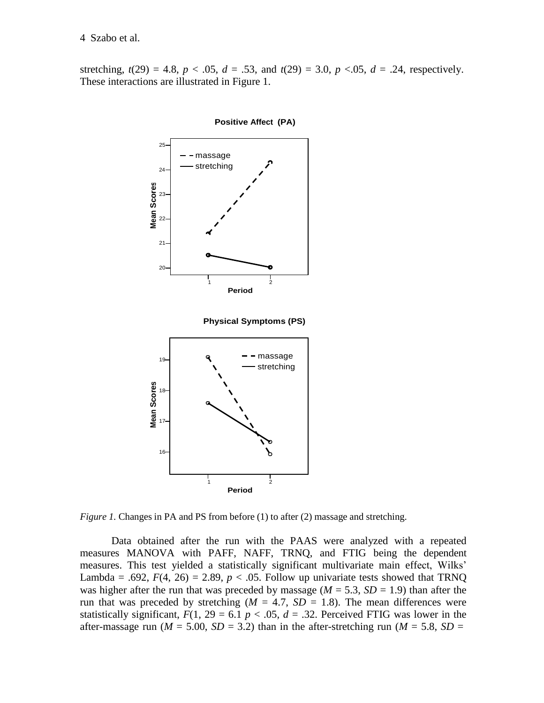stretching,  $t(29) = 4.8$ ,  $p < .05$ ,  $d = .53$ , and  $t(29) = 3.0$ ,  $p < .05$ ,  $d = .24$ , respectively. These interactions are illustrated in Figure 1.



**Positive Affect (PA)**

*Figure 1.* Changes in PA and PS from before (1) to after (2) massage and stretching.

Data obtained after the run with the PAAS were analyzed with a repeated measures MANOVA with PAFF, NAFF, TRNQ, and FTIG being the dependent measures. This test yielded a statistically significant multivariate main effect, Wilks' Lambda = .692,  $F(4, 26) = 2.89$ ,  $p < .05$ . Follow up univariate tests showed that TRNQ was higher after the run that was preceded by massage ( $M = 5.3$ ,  $SD = 1.9$ ) than after the run that was preceded by stretching  $(M = 4.7, SD = 1.8)$ . The mean differences were statistically significant,  $F(1, 29 = 6.1 p < .05, d = .32$ . Perceived FTIG was lower in the after-massage run ( $M = 5.00$ ,  $SD = 3.2$ ) than in the after-stretching run ( $M = 5.8$ ,  $SD =$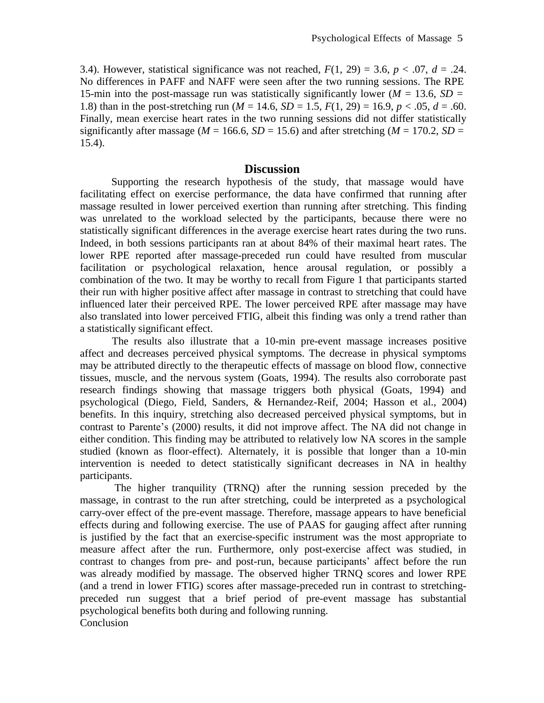3.4). However, statistical significance was not reached,  $F(1, 29) = 3.6$ ,  $p < .07$ ,  $d = .24$ . No differences in PAFF and NAFF were seen after the two running sessions. The RPE 15-min into the post-massage run was statistically significantly lower ( $M = 13.6$ ,  $SD =$ 1.8) than in the post-stretching run ( $M = 14.6$ ,  $SD = 1.5$ ,  $F(1, 29) = 16.9$ ,  $p < .05$ ,  $d = .60$ . Finally, mean exercise heart rates in the two running sessions did not differ statistically significantly after massage ( $M = 166.6$ ,  $SD = 15.6$ ) and after stretching ( $M = 170.2$ ,  $SD =$ 15.4).

### **Discussion**

Supporting the research hypothesis of the study, that massage would have facilitating effect on exercise performance, the data have confirmed that running after massage resulted in lower perceived exertion than running after stretching. This finding was unrelated to the workload selected by the participants, because there were no statistically significant differences in the average exercise heart rates during the two runs. Indeed, in both sessions participants ran at about 84% of their maximal heart rates. The lower RPE reported after massage-preceded run could have resulted from muscular facilitation or psychological relaxation, hence arousal regulation, or possibly a combination of the two. It may be worthy to recall from Figure 1 that participants started their run with higher positive affect after massage in contrast to stretching that could have influenced later their perceived RPE. The lower perceived RPE after massage may have also translated into lower perceived FTIG, albeit this finding was only a trend rather than a statistically significant effect.

The results also illustrate that a 10-min pre-event massage increases positive affect and decreases perceived physical symptoms. The decrease in physical symptoms may be attributed directly to the therapeutic effects of massage on blood flow, connective tissues, muscle, and the nervous system (Goats, 1994). The results also corroborate past research findings showing that massage triggers both physical (Goats, 1994) and psychological (Diego, Field, Sanders, & Hernandez-Reif, 2004; Hasson et al., 2004) benefits. In this inquiry, stretching also decreased perceived physical symptoms, but in contrast to Parente's (2000) results, it did not improve affect. The NA did not change in either condition. This finding may be attributed to relatively low NA scores in the sample studied (known as floor-effect). Alternately, it is possible that longer than a 10-min intervention is needed to detect statistically significant decreases in NA in healthy participants.

The higher tranquility (TRNQ) after the running session preceded by the massage, in contrast to the run after stretching, could be interpreted as a psychological carry-over effect of the pre-event massage. Therefore, massage appears to have beneficial effects during and following exercise. The use of PAAS for gauging affect after running is justified by the fact that an exercise-specific instrument was the most appropriate to measure affect after the run. Furthermore, only post-exercise affect was studied, in contrast to changes from pre- and post-run, because participants' affect before the run was already modified by massage. The observed higher TRNQ scores and lower RPE (and a trend in lower FTIG) scores after massage-preceded run in contrast to stretchingpreceded run suggest that a brief period of pre-event massage has substantial psychological benefits both during and following running. Conclusion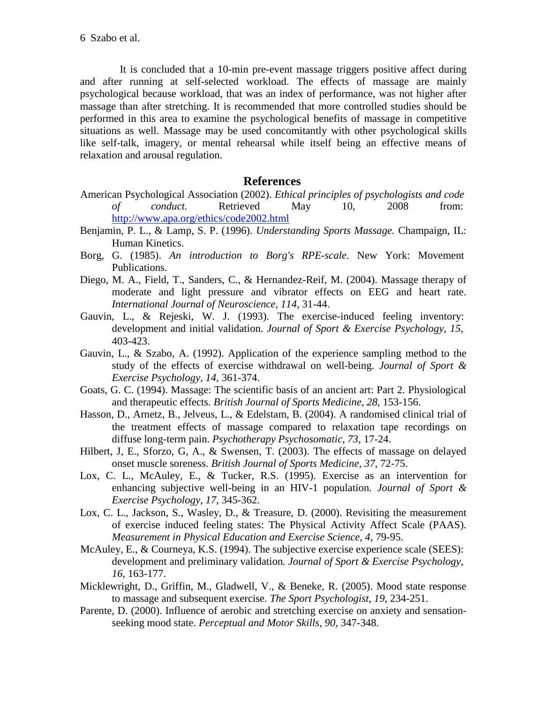It is concluded that a 10-min pre-event massage triggers positive affect during and after running at self-selected workload. The effects of massage are mainly psychological because workload, that was an index of performance, was not higher after massage than after stretching. It is recommended that more controlled studies should be performed in this area to examine the psychological benefits of massage in competitive situations as well. Massage may be used concomitantly with other psychological skills like self-talk, imagery, or mental rehearsal while itself being an effective means of relaxation and arousal regulation.

# **References**

- American Psychological Association (2002). *Ethical principles of psychologists and code of conduct.* Retrieved May 10, 2008 from: <http://www.apa.org/ethics/code2002.html>
- Benjamin, P. L., & Lamp, S. P. (1996). *Understanding Sports Massage.* Champaign, IL: Human Kinetics.
- Borg, G. (1985). *An introduction to Borg's RPE-scale.* New York: Movement Publications.
- Diego, M. A., Field, T., Sanders, C., & Hernandez-Reif, M. (2004). Massage therapy of moderate and light pressure and vibrator effects on EEG and heart rate. *International Journal of Neuroscience, 114*, 31-44.
- Gauvin, L., & Rejeski, W. J. (1993). The exercise-induced feeling inventory: development and initial validation. *Journal of Sport & Exercise Psychology, 15*, 403-423.
- Gauvin, L., & Szabo, A. (1992). Application of the experience sampling method to the study of the effects of exercise withdrawal on well-being. *Journal of Sport & Exercise Psychology, 14,* 361-374.
- Goats, G. C. (1994). Massage: The scientific basis of an ancient art: Part 2. Physiological and therapeutic effects. *British Journal of Sports Medicine, 28,* 153-156.
- Hasson, D., Arnetz, B., Jelveus, L., & Edelstam, B. (2004). A randomised clinical trial of the treatment effects of massage compared to relaxation tape recordings on diffuse long-term pain. *Psychotherapy Psychosomatic, 73*, 17-24.
- Hilbert, J, E., Sforzo, G, A., & Swensen, T. (2003). The effects of massage on delayed onset muscle soreness. *British Journal of Sports Medicine, 37*, 72-75.
- Lox, C. L., McAuley, E., & Tucker, R.S. (1995). Exercise as an intervention for enhancing subjective well-being in an HIV-1 population. *Journal of Sport & Exercise Psychology, 17*, 345-362.
- Lox, C. L., Jackson, S., Wasley, D., & Treasure, D. (2000). Revisiting the measurement of exercise induced feeling states: The Physical Activity Affect Scale (PAAS). *Measurement in Physical Education and Exercise Science, 4*, 79-95.
- McAuley, E., & Courneya, K.S. (1994). The subjective exercise experience scale (SEES): development and preliminary validation*. Journal of Sport & Exercise Psychology, 16*, 163-177.
- Micklewright, D., Griffin, M., Gladwell, V., & Beneke, R. (2005). Mood state response to massage and subsequent exercise. *The Sport Psychologist, 19,* 234-251.
- Parente, D. (2000). Influence of aerobic and stretching exercise on anxiety and sensationseeking mood state. *Perceptual and Motor Skills, 90*, 347-348.